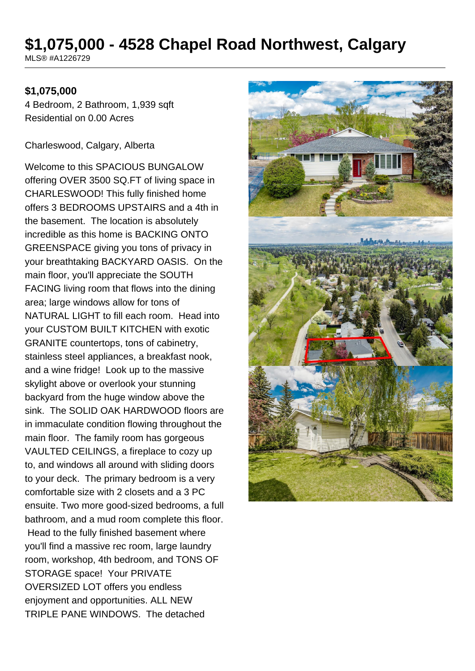# **\$1,075,000 - 4528 Chapel Road Northwest, Calgary**

MLS® #A1226729

#### **\$1,075,000**

4 Bedroom, 2 Bathroom, 1,939 sqft Residential on 0.00 Acres

Charleswood, Calgary, Alberta

Welcome to this SPACIOUS BUNGALOW offering OVER 3500 SQ.FT of living space in CHARLESWOOD! This fully finished home offers 3 BEDROOMS UPSTAIRS and a 4th in the basement. The location is absolutely incredible as this home is BACKING ONTO GREENSPACE giving you tons of privacy in your breathtaking BACKYARD OASIS. On the main floor, you'll appreciate the SOUTH FACING living room that flows into the dining area; large windows allow for tons of NATURAL LIGHT to fill each room. Head into your CUSTOM BUILT KITCHEN with exotic GRANITE countertops, tons of cabinetry, stainless steel appliances, a breakfast nook, and a wine fridge! Look up to the massive skylight above or overlook your stunning backyard from the huge window above the sink. The SOLID OAK HARDWOOD floors are in immaculate condition flowing throughout the main floor. The family room has gorgeous VAULTED CEILINGS, a fireplace to cozy up to, and windows all around with sliding doors to your deck. The primary bedroom is a very comfortable size with 2 closets and a 3 PC ensuite. Two more good-sized bedrooms, a full bathroom, and a mud room complete this floor. Head to the fully finished basement where you'll find a massive rec room, large laundry room, workshop, 4th bedroom, and TONS OF STORAGE space! Your PRIVATE OVERSIZED LOT offers you endless enjoyment and opportunities. ALL NEW TRIPLE PANE WINDOWS. The detached

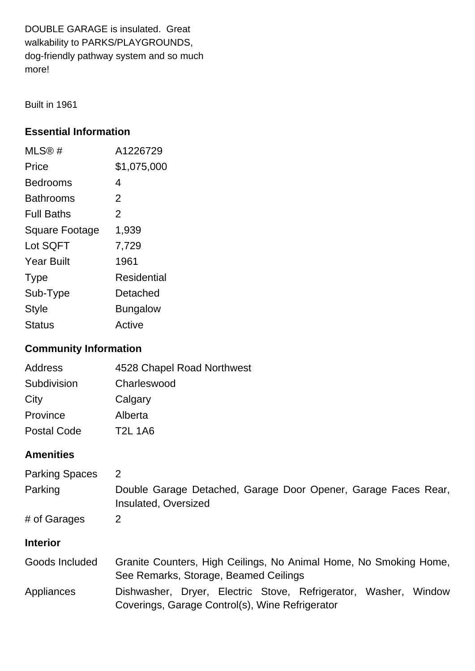DOUBLE GARAGE is insulated. Great walkability to PARKS/PLAYGROUNDS, dog-friendly pathway system and so much more!

Built in 1961

## **Essential Information**

| MLS@#                 | A1226729        |
|-----------------------|-----------------|
| Price                 | \$1,075,000     |
| Bedrooms              | 4               |
| Bathrooms             | $\overline{2}$  |
| <b>Full Baths</b>     | $\overline{2}$  |
| <b>Square Footage</b> | 1,939           |
| Lot SQFT              | 7,729           |
| Year Built            | 1961            |
| <b>Type</b>           | Residential     |
| Sub-Type              | Detached        |
| <b>Style</b>          | <b>Bungalow</b> |
| Status                | Active          |

## **Community Information**

| Address            | 4528 Chapel Road Northwest |
|--------------------|----------------------------|
| Subdivision        | Charleswood                |
| City               | Calgary                    |
| Province           | Alberta                    |
| <b>Postal Code</b> | <b>T2L 1A6</b>             |

## **Amenities**

| <b>Parking Spaces</b><br>Parking | 2<br>Double Garage Detached, Garage Door Opener, Garage Faces Rear,<br>Insulated, Oversized                           |
|----------------------------------|-----------------------------------------------------------------------------------------------------------------------|
| # of Garages                     | 2                                                                                                                     |
| <b>Interior</b>                  |                                                                                                                       |
| Goods Included                   | Granite Counters, High Ceilings, No Animal Home, No Smoking Home,<br>See Remarks, Storage, Beamed Ceilings            |
| Appliances                       | Dishwasher, Dryer, Electric Stove, Refrigerator, Washer,<br>Window<br>Coverings, Garage Control(s), Wine Refrigerator |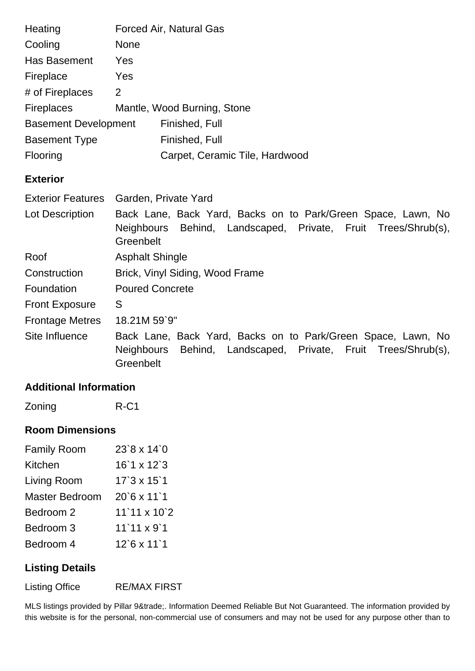| Heating                     | <b>Forced Air, Natural Gas</b> |                                |
|-----------------------------|--------------------------------|--------------------------------|
| Cooling                     | <b>None</b>                    |                                |
| Has Basement                | Yes                            |                                |
| Fireplace                   | Yes                            |                                |
| # of Fireplaces             | 2                              |                                |
| <b>Fireplaces</b>           | Mantle, Wood Burning, Stone    |                                |
| <b>Basement Development</b> |                                | Finished, Full                 |
| <b>Basement Type</b>        |                                | Finished, Full                 |
| Flooring                    |                                | Carpet, Ceramic Tile, Hardwood |
|                             |                                |                                |

### **Exterior**

| <b>Exterior Features</b> | Garden, Private Yard                                                                                                                       |  |  |
|--------------------------|--------------------------------------------------------------------------------------------------------------------------------------------|--|--|
| Lot Description          | Back Lane, Back Yard, Backs on to Park/Green Space, Lawn, No<br>Neighbours Behind, Landscaped, Private, Fruit Trees/Shrub(s),<br>Greenbelt |  |  |
| Roof                     | <b>Asphalt Shingle</b>                                                                                                                     |  |  |
| Construction             | Brick, Vinyl Siding, Wood Frame                                                                                                            |  |  |
| Foundation               | <b>Poured Concrete</b>                                                                                                                     |  |  |
| <b>Front Exposure</b>    | S                                                                                                                                          |  |  |
| <b>Frontage Metres</b>   | 18.21M 59`9"                                                                                                                               |  |  |
| Site Influence           | Back Lane, Back Yard, Backs on to Park/Green Space, Lawn, No<br>Neighbours Behind, Landscaped, Private, Fruit Trees/Shrub(s),<br>Greenbelt |  |  |

### **Additional Information**

Zoning R-C1

#### **Room Dimensions**

| <b>Family Room</b>    | $23'8 \times 14'0$               |
|-----------------------|----------------------------------|
| Kitchen               | $16'1 \times 12'3$               |
| Living Room           | $17'3 \times 15'1$               |
| <b>Master Bedroom</b> | $20^{\circ}6 \times 11^{\circ}1$ |
| Bedroom 2             | $11'11 \times 10'2$              |
| Bedroom 3             | $11'11 \times 9'1$               |
| Bedroom 4             | $12$ `6 x 11`1                   |

## **Listing Details**

Listing Office RE/MAX FIRST

MLS listings provided by Pillar 9™. Information Deemed Reliable But Not Guaranteed. The information provided by this website is for the personal, non-commercial use of consumers and may not be used for any purpose other than to